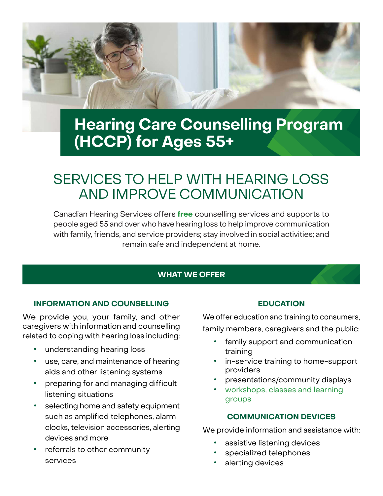

# **Hearing Care Counselling Program (HCCP) for Ages 55+**

## SERVICES TO HELP WITH HEARING LOSS AND IMPROVE COMMUNICATION

Canadian Hearing Services offers **[free](https://www.chs.ca/service/hearing-care-counselling-ages-55)** counselling services and supports to people aged 55 and over who have hearing loss to help improve communication with family, friends, and service providers; stay involved in social activities; and remain safe and independent at home.

## **WHAT WE OFFER**

## **INFORMATION AND COUNSELLING**

We provide you, your family, and other caregivers with information and counselling related to coping with hearing loss including:

- **•** understanding hearing loss
- **•** use, care, and maintenance of hearing aids and other listening systems
- **•** preparing for and managing difficult listening situations
- **•** selecting home and safety equipment such as amplified telephones, alarm clocks, television accessories, alerting devices and more
- **•** referrals to other community services

## **EDUCATION**

We offer education and training to consumers, family members, caregivers and the public:

- **•** family support and communication training
- **•** in-service training to home-support providers
- **•** presentations/community displays
- **•** [workshops, classes and learning](https://www.chs.ca/service/workshops-classes-groups)  [groups](https://www.chs.ca/service/workshops-classes-groups)

## **COMMUNICATION DEVICES**

We provide information and assistance with:

- **•** assistive listening devices
- **•** specialized telephones
- **•** alerting devices